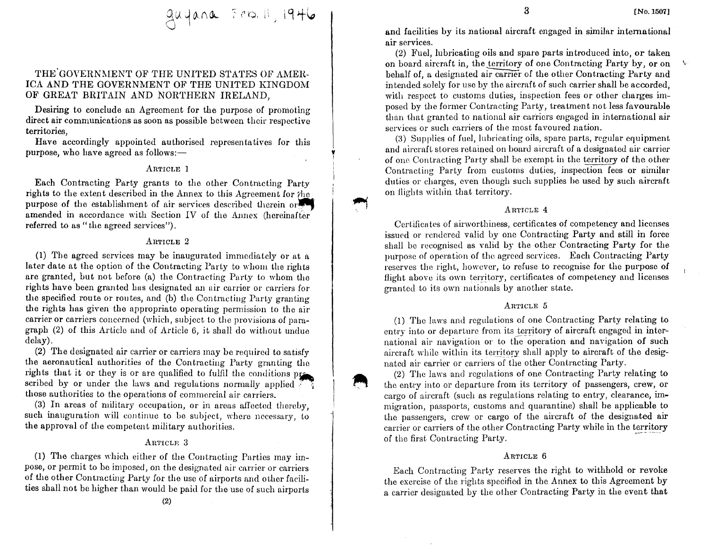$g$ uyana Feb. 11, 1946

# THE GOVERNMENT OF THE UNITED STATES OF AMER-ICA AND THE GOVERNMENT OF THE UNITED KINGDOM OF GREAT BRITAIN AND NORTHERN IRELAND,

Desiring to conclude an Agreement for the purpose of promoting direct air communications as soon as possible between their respective territories,

Have accordingly appointed authorised representatives for this purpose, who have agreed as follows:-

#### ARTICLE 1

Each Contracting Party grants to the other Contracting Party rights to the extent described in the Annex to this Agreement for 'he purpose of the establishment of air services described therein or amended in accordance with Section IV of the Annex (hereinafter referred to as "the agreed services").

#### ARTICLE 2

(1) The agreed services may be inaugurated immediately or at a later date at the option of the Contracting Party to whom the rights are granted, but not before (a) the Contracting Party to whom the rights have been granted has designated an air carrier or carriers for the specified route or routes, and (b) the Contracting Party granting the rights has given the appropriate operating permission to the air carrier or carriers concerned (which, subject to the provisions of paragraph (2) of this Article and of Article 6, it shall do without undue delay).

(2) The designated air carrier or carriers may be required to satisfy the aeronautical authorities of the Contracting Party granting the rights that it or they is or are qualified to fulfil the conditions proscribed by or under the laws and regulations normally applied  $\mathbb{Z}$ those authorities to the operations of commercial air carriers .

(3) In areas of military occupation, or in areas affected thereby, such inauguration will continue to be subject, where necessary, to the approval of the competent military authorities.

# ARTICLE 3

(1) The charges which either of the Contracting Parties may impose, or permit to be imposed, on the designated air carrier or carriers of the other Contracting Party for the use of airports and other facilities shall not be higher than would be paid for the use of such airports and facilities by its national aircraft engaged in similar international air services .

(2) Fuel, lubricating oils and spare parts introduced into, or taken on board aircraft in, the territory of one Contracting Party by, or on behalf of, a designated air carrier of the other Contracting Party and intended solely for use by the aircraft of such carrier shall be accorded, with respect to customs duties, inspection fees or other charges imposed by the former Contracting Party, treatment not less favourable than that granted to national air carriers engaged in international air services or such carriers of the most favoured nation.

(3) Supplies of fuel, lubricating oils, spare parts, regular equipment and aircraft stores retained on board aircraft of a designated air carrier of one Contracting Party shall be exempt in the territory of the other Contracting Party from customs duties, inspection fees or similar duties or charges, even though such supplies be used by such aircraft on flights within that territory.

#### ARTICLE 4

Certificates of airworthiness, certificates of competency and licenses issued or rendered valid by one Contracting Party and still in force shall be recognised as valid by the other Contracting Party for the purpose of operation of the agreed services. Each Contracting Party reserves the right, however, to refuse to recognise for the purpose of flight above its own territory, certificates of competency and licenses granted to its own nationals by another state.

#### ARTICLE 5

(1) The laws and regulations of one Contracting Party relating to entry into or departure from its territory of aircraft engaged in international air navigation or to the operation and navigation of such aircraft while within its territory shall apply to aircraft of the designated air carrier or carriers of the other Contracting Party.

(2) The laws and regulations of one Contracting Party relating to the entry into or departure from its territory of passengers, crew, or cargo of aircraft (such as regulations relating to entry, clearance, immigration, passports, customs and quarantine) shall he applicable to the passengers, crew or cargo of the aircraft of the designated air carrier or carriers of the other Contracting Party while in the territory of the first Contracting Party .

#### ARTICLE 6

Each Contracting Party reserves the right to withhold or revoke the exercise of the rights specified in the Annex to this Agreement by a carrier designated by the other Contracting Party in the event that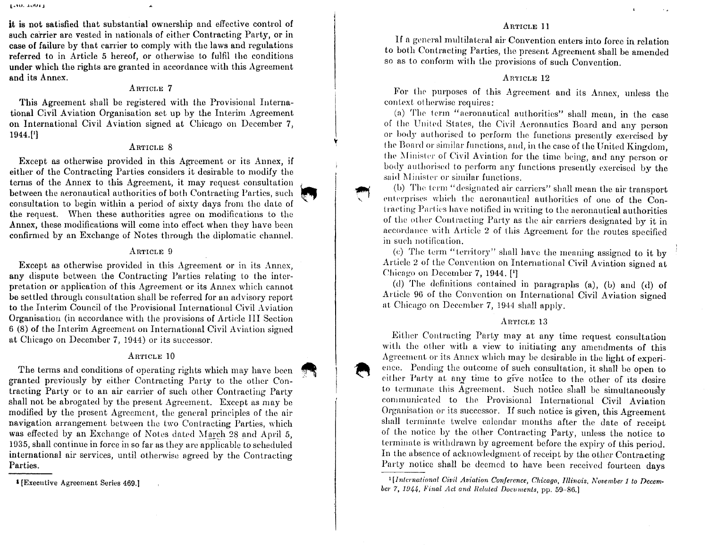1450, 40033

it is not satisfied that substantial ownership and effective control of such carrier are vested in nationals of either Contracting Party, or in case of failure by that carrier to comply with the laws and regulations referred to in Article 5 hereof, or otherwise to fulfil the conditions under which the rights are granted in accordance with this Agreement and its Annex.

### ARTICLE 7

This Agreement shall be registered with the Provisional International Civil Aviation Organisation set up by the Interim Agreement on International Civil Aviation signed at Chicago on December 7, 1944.[1]

#### ARTICLE 8

Except as otherwise provided in this Agreement or its Annex, if either of the Contracting Parties considers it desirable to modify the terms of the Annex to this Agreement, it may request consultation between the aeronautical authorities of both Contracting Parties, such consultation to begin within a period of sixty days from the date of the request. When these authorities agree on modifications to the Annex, these modifications will come into effect when they have been confirmed by an Exchange of Notes through the diplomatic channel.

#### ARTICLE 9

Except as otherwise provided in this Agreement or in its Annex, any dispute between the Contracting Parties relating to the interpretation or application of this Agreement or its Annex which cannot be settled through consultation shall be referred for an advisory report to the Interim Council of the Provisional International Civil Aviation Organisation (in accordance with the provisions of Article III Section 6 (8) of the Interim Agreement on International Civil Aviation signed at Chicago on December 7, 1944) or its successor .

#### ARTICLE 10

The terms and conditions of operating rights which may have been granted previously by either Contracting Party to the other Contracting Party or to an air carrier of such other Contracting Party shall not be abrogated by the present Agreement. Except as may be modified by the present Agreement, the general principles of the air navigation arrangement between the two Contracting Parties, which was effected by an Exchange of Notes dated March 28 and April 5, 1935, shall continue in force in so far as they are applicable to scheduled international air services, until otherwise agreed by the Contracting Parties.

I [Executive Agreement Series 469 .1

#### ARTICLE 11

L

If a general multilateral air Convention enters into force in relation to both Contracting Parties, the present Agreement shall be amended so as to conform with the provisions of such Convention.

#### ARTICLE 12

For the purposes of this Agreement. and its Annex, unless the context otherwise requires :

(a) The term "aeronautical authorities" shall mean, in the case of the United States, the Civil Aeronautics Board and any person or body authorised to perform the functions presently exercised by the Board or similar functions, and, in the case of the United Kingdom, the Minister of Civil Aviation for the time being, and any person or body authorised to perform any functions presently exercised by the said Minister or similar functions.

(b) The term "designated air carriers" shall mean the air transport enterprises which the aeronautical authorities of one of the Contracting Parties have notified in writing to the aeronautical authorities of the other Contracting Party as the air carriers designated by it in accordance with Article 2 of this Agreement for the routes specified in such notification.

(c) The term "territory" shall have the meaning assigned to it by Article 2 of the Convention on International Civil Aviation signed at Chicago on December 7, 1944 . [']

(d) The definitions contained in paragraphs (a), (b) and (d) of Article 96 of the Convention on International Civil Aviation signed at. Chicago on December 7, <sup>1944</sup> shall apply .

#### ARTICLE 13

Either Contracting Party may at any time request consultation with the other with a view to initiating any amendments of this Agreement or its Annex which may be desirable in the light of experience. Pending the outcome of such consultation, it shall be open to either Party at any time to give notice to the other of its desire to terminate this  $\bar{A}$ greement. Such notice shall be simultaneously communicated to the Provisional International Civil Aviation Organisation or its successor. If such notice is given, this Agreement shall terminate twelve calendar months after the date of receipt of the notice by the other Contracting Party, unless the notice to terminate is withdrawn by agreement before the expiry of this period. In the absence of acknowledgment of receipt by the other Contracting Party notice shall be deemed to have been received fourteen days

<sup>1</sup>[International Civil Aviation Conference, Chicago, Illinois, November 1 to December 7, 1944, Final Act and Related Documents, pp. 59-86.]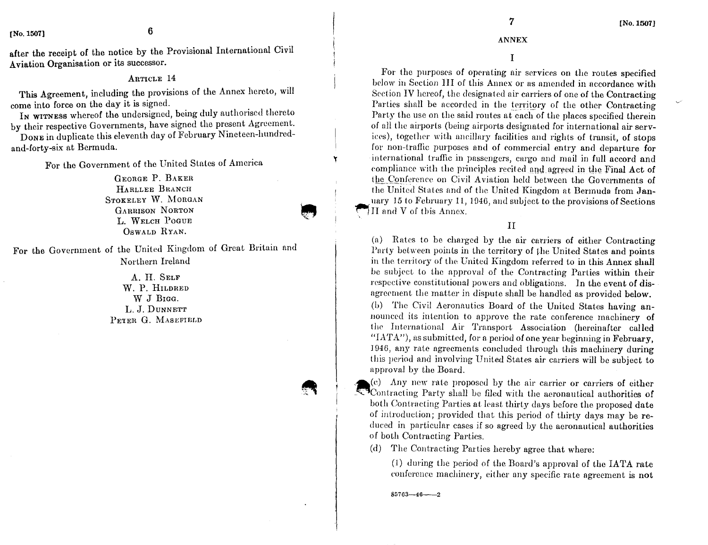after the receipt of the notice by the Provisional International Civil Aviation Organisation or its successor. The same of the notice by the Provisional International Civil The Samme of the notice by the Provisional International Civil The Samme of the notice by the Provisional International Civil The Samme of The Samme of The Samm

6

#### ARTICLE 14

This Agreement, including the provisions of the Annex hereto, will come into force on the day it is signed.

IN WITNESS whereof the undersigned, being duly authorised thereto by their respective Governments, have signed the present Agreement.

DONE in duplicate this eleventh day of February Nineteen-hundredand-forty-six at Bermuda .

For the Government of the United States of America

GEORGE P. BAKER HARLLEE BRANCH STOKELEY W. MORGAN GARRISON NORTON L. WELCH POGUE OSWALD RYAN.

For the Government of the United Kingdom of Great Britain and Northern Ireland

> A . H. SELF W. P. HILDRED W J BIGG. L. J. DUNNETT PETER G. MASEFIELD

#### ANNEX

I

For the purposes of operating air services on the routes specified below in Section III of this Annex or as amended in accordance with Section IV hereof, the designated air carriers of one of the Contracting Parties shall be accorded in the territory of the other Contracting Party the use on the said routes at each of the places specified therein of all the airports (being airports designated for international air services), together with ancillary facilities and rights of transit, of stops for non-traffic purposes and of commercial entry and departure for international traffic in passengers, cargo and mail in full accord and compliance with the principles recited and\_agreed\_in the Final Act of the Conference on Civil Aviation held between the Governments of the United States and of the United Kingdom at Bermuda from Jannary 15 to February 11, 1946, and subject to the provisions of Sections  $\overline{1}$ II and V of this Annex.

II

(a) Rates to he charged by the air carriers of either Contracting Party between points in the territory of the United States and points in the territory of the United Kingdom referred to in this Annex shall be subject to the approval of the Contracting Parties within their respective constitutional powers and obligations. In the event of disagreement the matter in dispute shall be handled as provided below. (b) The Civil Aeronautics Board of the United States having announced its intention to approve the rate conference machinery of the International Air Transport Association (hereinafter called " $IATA$ "), as submitted, for a period of one year beginning in February. 1646, any rate agreements concluded through this machinery during this period and involving United States air carriers will be subject to approval by the Board.

 $\Lambda$ (e) Any new rate proposed by the air carrier or carriers of either Contracting Party shall be filed with the aeronautical authorities of both Contracting Parties at least thirty days before the proposed date of introduction ; provided that this period of thirty days may be reduced in particular cases if so agreed by the aeronautical authorities of both Contracting Parties.

(d) The Contracting Parties hereby agree that where:

(1) during the period of the Board's approval of the IATA rate conference machinery, either any specific rate agreement is not

 $85763 - 46 - 2$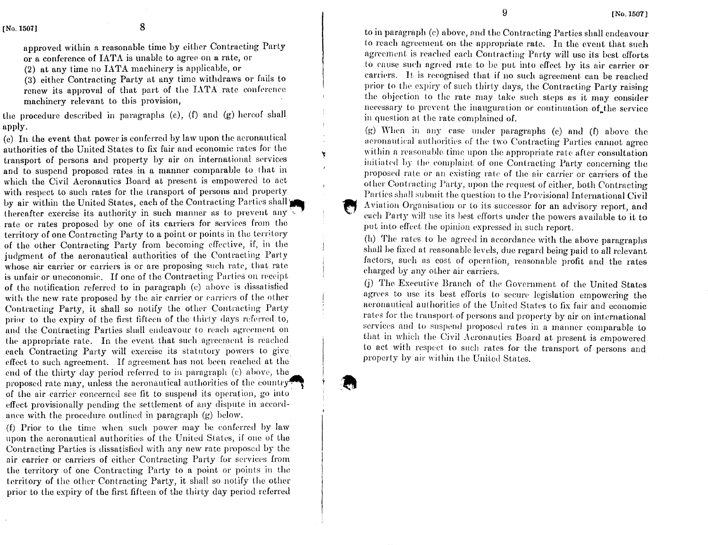approved within a reasonable time by either Contracting Party or a conference of IATA is unable to agree on a rate, or

 $(2)$  at any time no IATA machinery is applicable, or

(3) either Contracting Party at any time withdraws or fails to renew its approval of that part of the IATA rate conference machinery relevant to this provision,

the procedure described in paragraphs (e), (f) and (g) hereof shall apply.

(e) In the event that power is conferred by law upon the aeronautical authorities of the United States to fix fair and economic rates for the transport of persons and property by air on international services and to suspend proposed rates in a manner comparable to that in which the Civil Aeronautics Board at present is empowered to act with respect to such rates for the transport of persons and property by air within the United States, each of the Contracting Parties shall , thereafter exercise its authority in such manner as to prevent any rate or rates proposed by one of its carriers for services from the territory of one Contracting Party to a point or points in the territory of the other Contracting Party from becoming effective, if, in the judgment of the aeronautical authorities of the Contracting Party whose air carrier or carriers is or are proposing such rate, that rate is unfair or uneconomic. If one of the Contracting Parties on receipt of the notification referred to in paragraph (c) above is dissatisfied with the new rate proposed by the air carrier or carriers of the other Contracting Party, it shall so notify the other Contracting Party prior to the expiry of the first fifteen of the thirty days referred to, and the Contracting Parties shall endeavour to reach agreement on the appropriate rate. In the event that such agreement is reached each Contracting Party will exercise its statutory powers to give effect to such agreement. If agreement has not been reached at the end of the thirty day period referred to in paragraph (c) above, the proposed rate may, unless the aeronautical authorities of the country. of the air carrier concerned see fit to suspend its operation, go into effect provisionally pending the settlement of any dispute in accordance with the procedure outlined in paragraph (g) below.

(f) Prior to the time when such power may be conferred by law upon the aeronautical authorities of the United States, if one of the Contracting Parties is dissatisfied with any new rate proposed by the air carrier or carriers of either Contracting Party for services from the territory of one Contracting Party to a point or points in the territory of the other Contracting Party, it shall so notify the other prior to the expiry of the first fifteen of the thirty day period referred

(No. 1507)<br>
9 [No. 1507]<br>
8 to in paragraph (c) above, and the Contracting Parties shall endeavour<br>
19 approved within a reasonable time by either Contracting Party<br>
19 agreement on the appropriate rate. In the event that to in paragraph (c) above, and the Contracting Parties shall endeavour to reach agreement on the appropriate rate . In the event that such agreement is reached each Contracting Party will use its best efforts to cause such agreed rate to be put into effect by its air carrier or carriers. It is recognised that if no such agreement can be reached prior to the expiry of such thirty days, the Contracting Party raising the objection to the rate may take such steps as it may consider necessary to prevent the inauguration or continuation of the service in question at the rate complained of.

> (g) When in any case under paragraphs (e) and (f) above the aeronautical authorities of the two Contracting Parties cannot agree within a reasonable time upon the appropriate rate after consultation initiated by the complaint of one Contracting Party concerning the proposed rate or an existing rate of the air carrier or carriers of the other Contracting Party, upon the request of either, both Contracting Parties shall submit the question to the Provisional International Civil Aviation Organisation or to its successor for an advisory report, and each Party will use its best efforts under the powers available to it to put into effect the opinion expressed in such report.

> (h) The rates to be agreed in accordance with the above paragraphs shall be fixed at reasonable levels, due regard being paid to all relevant factors, such as cost of operation, reasonable profit and the rates charged by any other air carriers .

> (j) The Executive Branch of the Government of the United States agrees to use its best efforts to secure legislation empowering the aeronautical authorities of the United States to fix fair and economic rates for the transport of persons and property by air on international services and to suspend proposed rates in a manner comparable to that in which the Civil Aeronautics Board at present is empowered to act with respect to such rates for the transport of persons and property by air within the United States.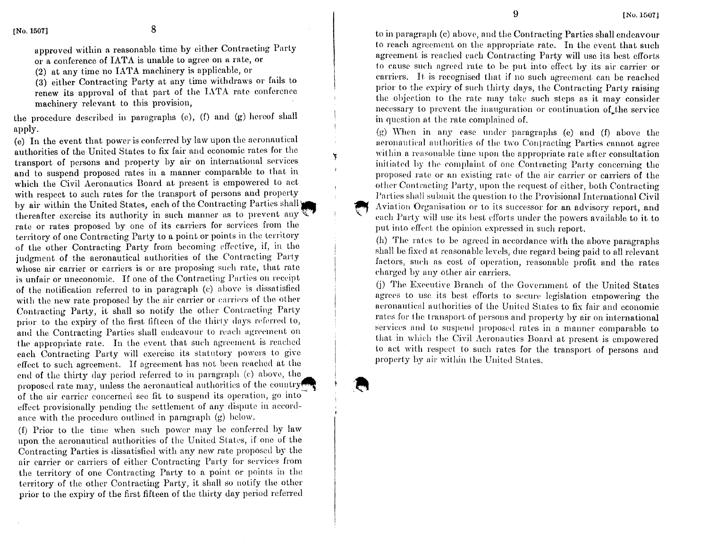approved within a reasonable time by either Contracting Party or a conference of IATA is unable to agree on a rate, or

(2) at any time no IATA machinery is applicable, or

(3) either Contracting Party at any time withdraws or fails to renew its approval of that part of the IATA rate conference machinery relevant to this provision,

 $\overline{\mathbf{y}}$ 

the procedure described in paragraphs (e), (f) and (g) hereof shall apply.

(e) In the event that power is conferred by law upon the aeronautical authorities of the United States to fix fair and economic rates for the transport of persons and property by air on international services and to suspend proposed rates in a manner comparable to that in which the Civil Aeronautics Board at present is empowered to act with respect to such rates for the transport of persons and property by air within the United States, each of the Contracting Parties shall' thereafter exercise its authority in such manner as to prevent any  $\mathbb{R}^n$ rate or rates proposed by one of its carriers for services from the territory of one Contracting Party to a point or points in the territory of the other Contracting Party from becoming effective, if, in the judgment of the aeronautical authorities of the Contracting Party whose air carrier or carriers is or are proposing such rate, that rate is unfair or uneconomic. If one of the Contracting Parties on receipt of the notification referred to in paragraph (c) above is dissatisfied with the new rate proposed by the air carrier or carriers of the other Contracting Party, it shall so notify the other Contracting Party prior to the expiry of the first fifteen of the thirty days referred to, and the Contracting Parties shall endeavour to reach agreement on the appropriate rate. In the event that such agreement is reached each Contracting Party will exercise its statutory powers to give effect to such agreement. If agreement has not been reached at the end of the thirty day period referred to in paragraph (c) above, the proposed rate may, unless the aeronautical authorities of the country, of the air carrier concerned see fit to suspend its operation, go into effect provisionally pending the settlement of any dispute in accordance with the procedure outlined in paragraph (g) below.

(f) Prior to the time when such power may be conferred by law upon the aeronautical authorities of the United States, if one of the Contracting Parties is dissatisfied with any new rate proposed by the air carrier or carriers of either Contracting Party for services from the territory of one Contracting Party to a point or points in the territory of the other Contracting Party, it shall so notify the other prior to the expiry of the first fifteen of the thirty day period referred

(No. 1507)<br>
8 [No. 1507]<br>
8 comparagraph (c) above, and the Contracting Parties shall endeavour<br>
supproved within a reasonable time by either Contracting Party<br>
19 comparagraph (c) above, and the Contracting Parties shall to in paragraph (c) above, and the Contracting Parties shall endeavour to reach agreement on the appropriate rate . In the event that such agreement is reached each Contracting Party will use its best efforts to cause such agreed rate to be put into effect by its air carrier or carriers. It is recognised that if no such agreement can be reached prior to the expiry of such thirty days, the Contracting Party raising the objection to the rate may take such steps as it may consider necessary to prevent the inauguration or continuation of the service in question at the rate complained of.

> (g) When in any case under paragraphs (e) and (f) above the aeronautical authorities of the two Contracting Parties cannot agree within a reasonable time upon the appropriate rate after consultation initiated by the complaint of one Contracting Party concerning the proposed rate or an existing rate of the air carrier or carriers of the other Contracting Party, upon the request of either, both Contracting Parties shall submit the question to the Provisional International Civil Aviation Organisation or to its successor for an advisory report, and each Party will use its best efforts under the powers available to it to put into effect the opinion expressed in such report.

> (h) The rates to be agreed in accordance with the above paragraphs shall be fixed at reasonable levels, due regard being paid to all relevant factors, such as cost of operation, reasonable profit and the rates charged by any other air carriers.

> (j) The Executive Branch of the Government of the United States agrees to use its best, efforts to secure legislation empowering the aeronautical authorities of the United States to fix fair and economic rates for the transport of persons and property by air on international services and to suspend proposed rates in a manner comparable to that in which the Civil Aeronautics Board at present is empowered to act with respect to such rates for the transport of persons and property by air within the United States.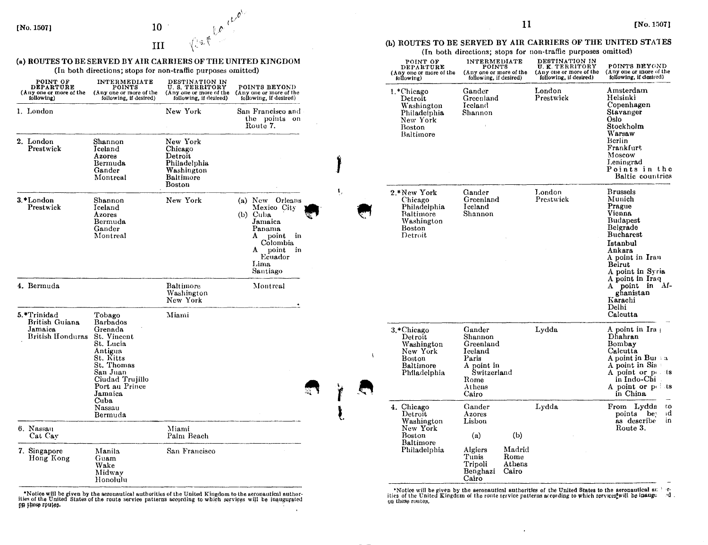[No. 1507]  $[No. 1507]$  $[No. 1507]$ 

# (a) ROUTES TO BE SERVED BY AIR CARRIERS OF THE UNITED KINGDOM  $[No. 1507]$

| [No. 1507]                                                                             | 10                                                                                                                                                          | Le choi<br>√ेकी                                                                        |                                                                                                                                                 |    |  |                                                                                                      | (b) ROUTES TO BE SERVED BY AIR CARRIERS OF THE UNITED STATES                           | 11                                                                                                                                               |                                                                                                                                                                                                     | [No. 1507]                                                                                                                                                                                                                             |
|----------------------------------------------------------------------------------------|-------------------------------------------------------------------------------------------------------------------------------------------------------------|----------------------------------------------------------------------------------------|-------------------------------------------------------------------------------------------------------------------------------------------------|----|--|------------------------------------------------------------------------------------------------------|----------------------------------------------------------------------------------------|--------------------------------------------------------------------------------------------------------------------------------------------------|-----------------------------------------------------------------------------------------------------------------------------------------------------------------------------------------------------|----------------------------------------------------------------------------------------------------------------------------------------------------------------------------------------------------------------------------------------|
| (a) ROUTES TO BE SERVED BY AIR CARRIERS OF THE UNITED KINGDOM                          | III                                                                                                                                                         | (In both directions; stops for non-traffic purposes omitted)                           |                                                                                                                                                 |    |  |                                                                                                      | POINT OF<br>DEPARTURE                                                                  | (In both directions; stops for non-traffic purposes omitted)<br><b>INTERMEDIATE</b><br>POINTS<br>(Any one or more of the (Any one or more of the | DESTINATION IN<br>U. K. TERRITORY<br>(Any one or more of the                                                                                                                                        | POINTS BEYOND<br>(Any one or more of the                                                                                                                                                                                               |
| POINT OF<br>DEPARTURE<br>(Any one or more of the (Any one or more of the<br>following) | INTERMEDIATE<br>POINTS<br>following, if desired)                                                                                                            | DESTINATION IN<br>U. S. TERRITORY<br>(Any one or more of the<br>following, if desired) | POINTS BEYOND<br>(Any one or more of the<br>following, if desired)                                                                              | -1 |  | (ollowing)<br>1.*Chicago<br>Detroit<br>Washington<br>Philadelphia<br>New York<br>Boston<br>Baltimore | following, if desired)<br>Gander<br>Greenland<br><b>Iceland</b><br>Shannon             | following, if desired)<br>London<br>Prestwick                                                                                                    | following, if desired)<br>Amsterdam<br>Helsinki<br>Copenhagen<br>Stavanger<br>Oslo<br>Stockholm<br>Warsaw<br><b>Berlin</b><br>Frankfurt<br>Moscow<br>Leningrad<br>Points in the<br>Baltic countries |                                                                                                                                                                                                                                        |
| 1. London                                                                              |                                                                                                                                                             | New York                                                                               | San Francisco and<br>the points on<br>Route 7.                                                                                                  |    |  |                                                                                                      |                                                                                        |                                                                                                                                                  |                                                                                                                                                                                                     |                                                                                                                                                                                                                                        |
| 2. London<br>Prestwick                                                                 | Shannon<br>Iceland<br>Azores<br><b>Bermuda</b><br>Gander<br>Montreal                                                                                        | New York<br>Chicago<br>Detroit<br>Philadelphia<br>Washington<br>Baltimore<br>Boston    |                                                                                                                                                 |    |  |                                                                                                      |                                                                                        |                                                                                                                                                  |                                                                                                                                                                                                     |                                                                                                                                                                                                                                        |
| 3.*London<br>Prestwick                                                                 | Shannon<br>Iceland<br>Azores<br>Bermuda<br>Gander<br>Montreal                                                                                               | New York                                                                               | (a) New Orleans<br>Mexico City<br>Cuba<br>(b)<br>Jamaica<br>Panama<br>A<br>point in<br>Colombia<br>point in<br>A<br>Ecuador<br>Lima<br>Santiago |    |  |                                                                                                      | 2.*New York<br>Chicago<br>Philadelphia<br>Baltimore<br>Washington<br>Boston<br>Detroit | Gander<br>Greenland<br>Iceland<br>Shannon                                                                                                        | London<br>Prestwick                                                                                                                                                                                 | <b>Brussels</b><br>Munich<br>Prague<br>Vienna<br><b>Budapest</b><br>Belgrade<br>Bucharest<br>Istanbul<br>Ankara<br>A point in Iran<br>Beirut<br>A point in Syria<br>A point in Iraq<br>A point in Af-<br>ghanistan<br>Karachi<br>Delhi |
| 4. Bermuda                                                                             |                                                                                                                                                             | Baltimore<br>Washington<br>New York                                                    | Montreal                                                                                                                                        |    |  |                                                                                                      |                                                                                        |                                                                                                                                                  |                                                                                                                                                                                                     |                                                                                                                                                                                                                                        |
| 5.*Trinidad<br>British Guiana<br>Jamaica<br>British Honduras St. Vincent               | Tobago<br><b>Barbados</b><br>Grenada<br>St. Lucia<br>Antigua<br>St. Kitts<br>St. Thomas<br>San Juan<br>Ciudad Trujillo<br>Port au Prince<br>Jamaica<br>Cuba | Miami                                                                                  |                                                                                                                                                 |    |  |                                                                                                      | 3.*Chicago<br>Detroit<br>Washington<br>New York<br>Boston<br>Baltimore<br>Philadelphia | $\operatorname{Gander}$<br>Shannon<br>Greenland<br>Iceland<br>Paris<br>A point in<br>Switzerland<br>Rome<br>Athens<br>Cairo                      | Lydda                                                                                                                                                                                               | Calcutta<br>A point in Ira  <br>Dhahran<br>Bombay<br>Calcutta<br>A point in Bur a<br>A point in Sia<br>A point or posts<br>in Indo-Chi<br>A point or points<br>in China                                                                |
|                                                                                        | Nassau<br>Bermuda                                                                                                                                           |                                                                                        |                                                                                                                                                 |    |  |                                                                                                      | 4. Chicago<br>Detroit<br>Washington                                                    | Gander<br>Azores<br>Lisbon                                                                                                                       | Lydda<br>(b)                                                                                                                                                                                        | From Lydda<br><b>to</b><br>points be<br>-id<br>as describe<br>in<br>Route 3.                                                                                                                                                           |
| 6. Nassau<br>Cat Cav                                                                   |                                                                                                                                                             | Miami<br>Palm Beach                                                                    |                                                                                                                                                 |    |  |                                                                                                      | New York<br><b>Boston</b><br>Baltimore                                                 | (a)                                                                                                                                              |                                                                                                                                                                                                     |                                                                                                                                                                                                                                        |
| 7. Singapore<br>Hong Kong                                                              | Manila<br>Guam<br>Wake<br>Midway<br>Honolulu                                                                                                                | San Francisco                                                                          |                                                                                                                                                 |    |  | Philadelphia                                                                                         | Madrid<br>Algiers<br>Tunis<br>Rome<br>Tripoli<br>Athens<br>Benghazi Cairo<br>Cairo     |                                                                                                                                                  |                                                                                                                                                                                                     |                                                                                                                                                                                                                                        |

\*Notice will be given b the aeronautical authorities of the United Kingdom to the aeronautical author thes of the United States of the route service patterns according to which services will be inaugurated<br>On these routes.  $\mathbf{r}$ 

y the aeronautical authorities of the United Kingdom to the aeronautical author-<br>It its of the United Kingdom of the route service patterns according to which services, will be inaugu in the<br>It is of the United Kingdom of op theso routes,

 $\cdot$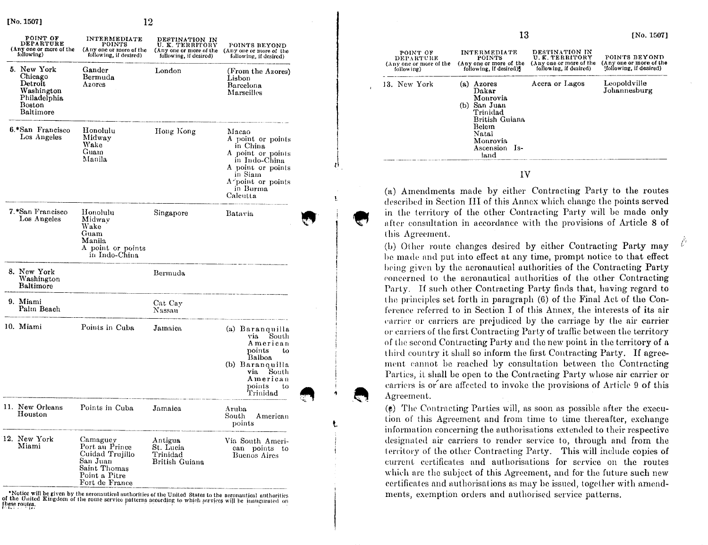

rivative will be given by the aeronautical authorities of the United States to the aeronautical authorities<br>of the United Kingdom of the route service patterns according to which services will be inaugurated on the contrac

Ascension Is-Monrovialand POINT OF<br>DEPARTURE DEPARTURE (A ny one or more of the following) INTERMEDIATE POINTS (Any one or more of the . ionowing, it desired); DESTINATION IN U. K. LENNITORY<br>Any one or more of the (Any one or more of the following, it desired) POINTS BEYOND (Any one or more of the ;following, if desired) Leopoldville 13. New York (a) Azores Accra or Lagos (a) Azores Accra or Lagos Johannesburg (b) San Juan Monrovia Trinidad British Guiana Belem Natal

13

#### IV

(a) Amendments made by either Contracting Party to the routes described in Section III of this Annex which change the points served in the territory of the other Contracting Party will be made only after consultation in accordance with the provisions of Article 8 of this Agreement.

(b) Other route changes desired by either Contracting Party may he made and put into effect at any time, prompt notice to that effect being given by the aeronautical authorities of the Contracting Party concerned to the aeronautical authorities of the other Contracting Party. If such other Contracting Party finds that, having regard to flue principles set forth in paragraph (6) of the Final Act of the Conference referred to in Section I of this Annex, the interests of its air carrier or carriers are prejudiced by the carriage by the air carrier or carriers of the first Contracting Party of traffic between the territory of the second Contracting Party and the new point in the territory of a third country it shall so inform the first Contracting Party. If agreement cannot be reached by consultation between the Contracting Parties, it shall be open to the Contracting Party whose air carrier or carriers is or'are affected to invoke the provisions of Article 9 of this Agreement.

 $(\epsilon)$  The Contracting Parties will, as soon as possible after the execulion of this Agreement and from time to time thereafter, exchange information concerning the authorisations extended to their respective designated air carriers to render service to, through and from the territory of the other Contracting Party. This will include copies of current certificates and authorisations for service on the routes which are the subject of this Agreement, and for the future such new certificates and authorisations as may be issued, together with amend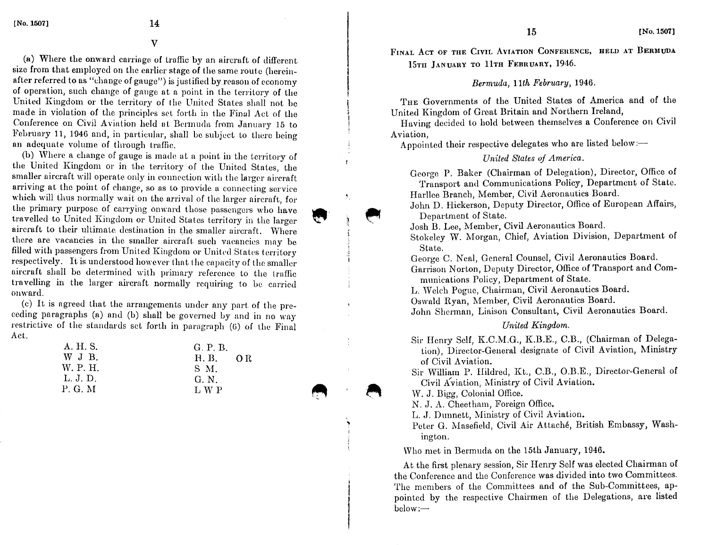V

(a) Where the onward carriage of traffic by an aircraft of different size from that employed on the earlier stage of the same route (hereinafter referred to as "change of gauge") is justified by reason of economy of operation, such change of gauge at a point in the territory of the United Kingdom or the territory of the United States shall not be made in violation of the principles set forth in the Final Act of the Conference on Civil Aviation held at Bermuda from January 15 to February 11, 1946 and, in particular, shall be subject to there being an adequate volume of through traffic.

(b) Where a change of gauge is made at a point in the territory of the United Kingdom or in the territory of the United States, the smaller aircraft will operate only in connection with the larger aircraft arriving at the point of change, so as to provide a connecting service which will thus normally wait on the arrival of the larger aircraft, for the primary purpose of carrying onward those passengers who have travelled to United Kingdom or United States territory in the larger aircraft to their ultimate destination in the smaller aircraft. Where there are vacancies in the smaller aircraft such vacancies may be filled with passengers from United Kingdom or United States territory respectively. It is understood however that the capacity of the smaller aircraft shall be determined with primary reference to the traffic travelling in the larger aircraft normally requiring to be carried onward. IN. 15071 14<br>
V<br>
(a) Where the onward carriage of traffic by an air<br>
size from that employed on the earlier stage of the san<br>
after referred to as "change of gauge") is justified by re<br>
of operation, such change of gauge" [No. 1567]  $\blacksquare$  The language of traffic by an size from that employed on the earlier stage of the star referred to as "change of gauge") is justified by an size from that employed on the earlier stage of the star of ope [No. 1507]  $$\tt U$$ <br>
(a) Where the onward carringe of traffic by an a<br>
size from that employed on the earlier stage of the safer referred to as "change of gauge") is justified by the safety of the safet referred to sate tha

(c) It is agreed that the arrangements under any part. of the preceding paragraphs (a) and (b) shall be governed by and in no way restrictive of the standards set forth in paragraph (6) of the Final Act.

| A. H. S. | G. P. B.       |
|----------|----------------|
| WJB.     | H. B.<br>- O R |
| W. P. H. | SM.            |
| L. J. D. | G. N.          |
| P. G. M  | LWP            |
|          |                |

FINAL ACT Or THE CIVIL AVIATION CONFERENCE, HELD AT BERMUDA 15TH JANUARY TO 11TH FEBRUARY, 1946.

#### Bermuda, 11th February, 1946.

THE Governments of the United States of America and of the United Kingdom of Great Britain and Northern Ireland,

Having decided to hold between themselves a Conference on Civil Aviation,

Appointed their respective delegates who are listed below :-

# United States of America .

George P. Baker (Chairman of Delegation). Director. Office of Transport and Communications Policy, Department of State. Harllee Branch, Member, Civil Aeronautics Board.

John D. Hickerson, Deputy Director, Office of European Affairs, Department of State.

Josh B. Lee, Member, Civil Aeronautics Board.

Stokeley W. Morgan, Chief, Aviation Division, Department of State.

George C. Neal, General Counsel, Civil Aeronautics Board . Garrison Norton, Deputy Director, Office of Transport and Communications Policy, Department of State.

L. Welch Pogue, Chairman, Civil Aeronautics Board.

Oswald Ryan, Member, Civil Aeronautics Board.

John Sherman, Liaison Consultant, Civil Aeronautics Board.

# United Kingdom.

Sir Henry Self, K.C.M.G., K.B.E., C.B., (Chairman of Delegation), Director-General designate of Civil Aviation, Ministry of Civil Aviation.

Sir William P. Hildred, Kt., C.B., O.B.E., Director-General of Civil Aviation, Ministry of Civil Aviation.

W. J. Bigg, Colonial Office.

N. J. A. Cheetham, Foreign Office.

L. J. Dunnett, Ministry of Civil Aviation.

Peter G. Masefield, Civil Air Attaché, British Embassy, Washington.

Who met in Bermuda on the 15th January, 1946.

At the first plenary session, Sir Henry Self was elected Chairman of the Conference and the Conference was divided into two Committees. The members of the Committees and of the Sub-Committees, appointed by the respective Chairmen of the Delegations, are listed below:-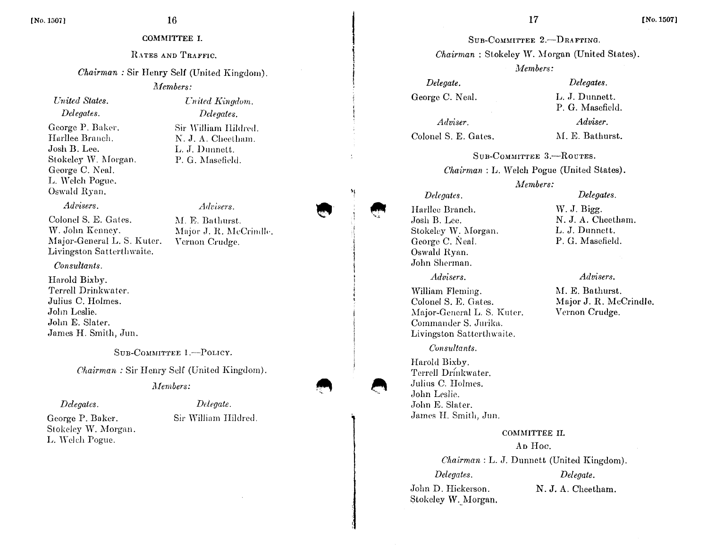COMMITTEE I.

RATES AND TRAFFIC .

Chairman : Sir Henry Self (United Kingdom) . ISON 15071<br>
16<br>
COMMITTEE I.<br>
RATES AND TRAFFIC.<br>
Chairman : Sir Henry Self (United Kingdon<br> *Members:*<br>
United States.<br>
United Kingdom.<br>
Linited Kingdom.

Members :

United States .

Delegates. Delegates.

George P. Baker.<br>Harllee Branch. Josh B . Lee . No. 1507]<br>
COMMITTEE I.<br>
RATES AND TRAFFIC.<br>
Chairman : Sir Henry Self (United Kin<br>
Members:<br>
L'nited States.<br>
L'nited Kinga<br>
Delegates.<br>
Ceorge P. Baker.<br>
George P. Baker.<br>
Sir William Hil<br>
Harllee Branch.<br>
Josh B. Lee.<br> Stokeley W. Morgan. George C. Neal. L. Welch Pogue. Oswald Ryan.  $[No. 1507] \label{thm:2} \begin{tabular}{lcccc} \multicolumn{3}{l}{\textbf{[No. 1507]}} \multicolumn{3}{l}{\textbf{[No. 1507]}} \multicolumn{3}{l}{\textbf{[No. 151]}} \multicolumn{3}{l}{\textbf{[No. 151]}} \multicolumn{3}{l}{\textbf{[No. 151]}} \multicolumn{3}{l}{\textbf{[No. 151]}} \multicolumn{3}{l}{\textbf{[No. 151]}} \multicolumn{3}{l}{\textbf{[No. 151]}} \multicolumn{3}{l}{\textbf{[No.$ 

Advisers .

Colonel S. E. Gates. W. John Kenney. Major-General L. S. Kuter. Livingston Satterthwaite.

Consultants .

Harold Bixby. Terrell Drinkwater. Julius C. Holmes. John Leslie. John E. Slater. James H. Smith, Jun.

SUB-COMMITTEE 1.-POLICY.

Chairman : Sir Henry Self (United Kingdom) .

#### Members:

Delegates .

George P. Baker. Stokeley W. Morgan.<br>L. Welch Pogue. COMMITTEE II. L. `l elcli Pogue .

 $[No. 1507]$   $[No. 1507]$   $[No. 1507]$   $[No. 1507]$ SUB-COMMITTEE 2-DRAFTING.  $Chairman : Stokelev W. Morgan (United States).$ Members :

> Delegate. George C. Neal.

Delegates. L. J . Dunnett.

P. G. Masefield.

Adviser. Colonel S. E. Gates.

Adviser. M E Bathurst

SUB-COMMITTEE 3-ROUTES.

Chairman : L. Welch Pogue (United States) . Members:

AD Hoc.  $Chairman: L. J. Dunnett (United Kingdom).$ 

Delegate.

N. J. A. Cheetham.

# Harllee Branch. Josh B. Lee . Stokeley W. Morgan. George C. Neal. Oswald Ryan. John Sherman.

Delegates.

Advisers .

William Fleming. Colonel S. E. Gates. Major-General L. S. Kuter. Commander S. Jurika. Livingston Satterthwaite. .

Consultants.

Harold Bixby. Terrell Drinkwater. Julius C. Holmes. John Leslie . Delegate. John E. Slater. James H. Smith, Jun.

Delegates .

John D. Hickerson.

Stokeley W. Morgan,

## Delegates.

# W. J. Bigg. N. J. A. Cheetham. L. J . Dunnctt. P. G. Masefield.

### Admsers.

M. E. Bathurst. Major J. R. McCrindle. Vernon Crudge.

Advisers . M. E. Bathurst.

Sir William Ilildred . N. J. A. Cheetham.<br>L. J. Dunnett.

P. G. Masefield

Major J. R. McCrindle.<br>Vernon Crudge.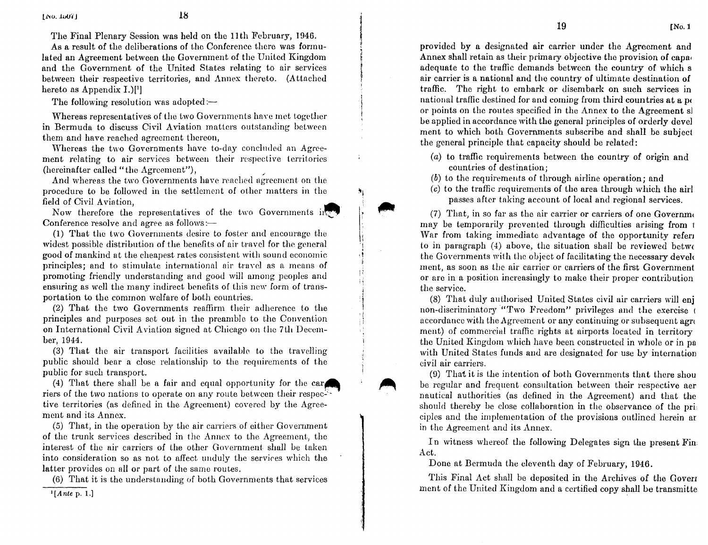$[200, 1507]$ The Final Plenary Session was held on the 11th February, 1946.

As a result of the deliberations of the Conference there was forinulated an Agreement between the Government of the United Kingdom and the Government of the United States relating to air services between their respective territories, and Annex thereto. (Attached hereto as Appendix  $I.$ )[ $'$ ]

The following resolution was adopted : $-$ 

Whereas representatives of the two Governments have met together in Bermuda to discuss Civil Aviation matters outstanding between them and have reached agreement thereon,

Whereas the two Governments have to-day concluded an Agreement relating to air services between their respective territories (hereinafter called "the Agreement"),

And whereas the two Governments have reached agreement on the procedure to be followed in the settlement of other matters in the field of Civil Aviation,

Now therefore the representatives of the two Governments in  $\mathbb{R}^n$ Conference resolve and agree as follows : $-$ 

(1) That the two Governments desire to foster and encourage the widest possible distribution of the benefits of air travel for the general good of mankind at the cheapest rates consistent with sound economic principles; and to stimulate international air travel as a means of promoting friendly understanding and good will among peoples and ensuring as well the many indirect benefits of this new form of transportation to the common welfare of both countries.

(2) That the two Governments reaffirm their adherence to the principles and purposes set out in the preamble to the Convention on International Civil Aviation signed at Chicago on the 7Lh December, 1944.

(3) That the air transport facilities available to the travelling public should bear a close relationship to the requirements of the public for such transport.

(4) That there shall be a fair and equal opportunity for the car riers of the two nations to operate on any route between their respec<sup>-11</sup> tive territories (as defined in the Agreement) covered by the Agreement and its Annex.

(5) That, in the operation by the air carriers of either Government of the trunk services described in the Annex to the Agreement, the interest of the air carriers of the other Government shall be taken into consideration so as not to affect unduly the services which the latter provides on all or part of the same routes.

(6) That it is the understanding of both Governments that services

provided by a designated air carrier under the Agreement and Annex shall retain as their primary objective the provision of capaadequate to the traffic demands between the country of which s air carrier is a national and the country of ultimate destination of traffic. The right to embark or disembark on such services in national traffic destined for and coming from third countries at a po or points on the routes specified in the Annex to the Agreement si be applied in accordance with the general principles of orderly devel ment to which both Governments subscribe and shall be subject the general principle that capacity should be related

- (a) to traffic requirements between the country of origin and countries of destination ;
- $(b)$  to the requirements of through airline operation: and
- $(c)$  to the traffic requirements of the area through which the airl passes after taking account of local and regional services .

(7) That, in so far as the air carrier or carriers of one Governme may be temporarily prevented through difficulties arising from <sup>i</sup> War from taking immediate advantage of the opportunity referm to in paragraph (4) above, the situation shall be reviewed betwe the Governments with the object of facilitating the necessary develc ment, as soon as the air carrier or carriers of the first Government or are in a position increasingly to make their proper contribution the service.

(8) That duly authorised United States civil air carriers will enj non-discriminatory "Two Freedom" privileges and the exercise accordance with the Agreement or any continuing or subsequent agreement ment) of commercial traffic rights at airports located in territory the United Kingdom which have been constructed in whole or in pa with United States funds and are designated for use by internation civil air carriers .

(9) That it is the intention of both Governments that there shou be regular and frequent consultation between their respective aer nautical authorities (as defined in the Agreement) and that the should thereby be close collaboration in the observance of the pri ciples and the implementation of the provisions outlined herein ar in the Agreement and its Annex.

In witness whereof the following Delegates sign the present Fin. Act.

Done at Bermuda the eleventh day of February, 1946 .

A

This Final Act shall be deposited in the Archives of the Goveri ment of the United Kingdom and a certified copy shall be transmitte

 $\cdot$  [Ante p. 1.]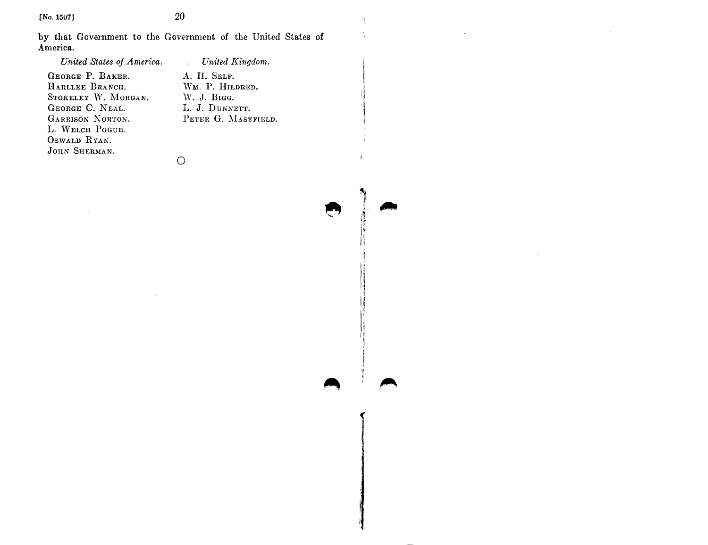by that Government to the Government of the United States of America. No. 1507]<br>by that Govern<br>America.<br>United State No. 1507]<br>by that Gove<br>America.

United States of America.

GEORGE P. BAKER. HARLLEE BRANCH. STOKELEY W. MORGAN. GEORGE C. NEAL. GARRISON NORTON. L. WELCH POGUE. OSWALD RYAN. JOHN SHERMAN.

United Kingdom.  $\mathcal{L}_{\rm{max}}$ A. H. SELF. WM. P. HILDRED. W. J. Bigg. L. J. DUNNETT. PETER G. MASEFIELD.

I

<sup>I</sup> Ut